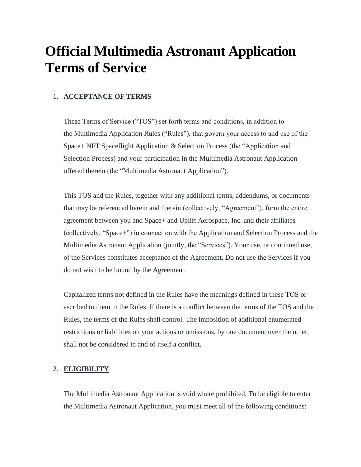# **Official Multimedia Astronaut Application Terms of Service**

# 1. **ACCEPTANCE OF TERMS**

These Terms of Service ("TOS") set forth terms and conditions, in addition to the [Multimedia](https://legal.yahoo.com/us/en/yahoo/terms/otos/index.html) Application Rules ("Rules"), that govern your access to and use of the Space+ NFT Spaceflight Application & Selection Process (the "Application and Selection Process) and your participation in the Multimedia Astronaut Application offered therein (the "Multimedia Astronaut Application").

This TOS and the Rules, together with any additional terms, addendums, or documents that may be referenced herein and therein (collectively, "Agreement"), form the entire agreement between you and Space+ and Uplift Aerospace, Inc. and their affiliates (collectively, "Space+") in connection with the Application and Selection Process and the Multimedia Astronaut Application (jointly, the "Services"). Your use, or continued use, of the Services constitutes acceptance of the Agreement. Do not use the Services if you do not wish to be bound by the Agreement.

Capitalized terms not defined in the Rules have the meanings defined in these TOS or ascribed to them in the Rules. If there is a conflict between the terms of the TOS and the Rules, the terms of the Rules shall control. The imposition of additional enumerated restrictions or liabilities on your actions or omissions, by one document over the other, shall not be considered in and of itself a conflict.

# 2. **ELIGIBILITY**

The Multimedia Astronaut Application is void where prohibited. To be eligible to enter the Multimedia Astronaut Application, you must meet all of the following conditions: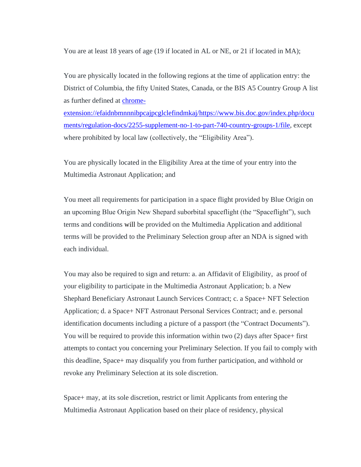You are at least 18 years of age (19 if located in AL or NE, or 21 if located in MA);

You are physically located in the following regions at the time of application entry: the District of Columbia, the fifty United States, Canada, or the BIS A5 Country Group A list as further defined at [chrome-](chrome-extension://efaidnbmnnnibpcajpcglclefindmkaj/https:/www.bis.doc.gov/index.php/documents/regulation-docs/2255-supplement-no-1-to-part-740-country-groups-1/file)

[extension://efaidnbmnnnibpcajpcglclefindmkaj/https://www.bis.doc.gov/index.php/docu](chrome-extension://efaidnbmnnnibpcajpcglclefindmkaj/https:/www.bis.doc.gov/index.php/documents/regulation-docs/2255-supplement-no-1-to-part-740-country-groups-1/file) [ments/regulation-docs/2255-supplement-no-1-to-part-740-country-groups-1/file,](chrome-extension://efaidnbmnnnibpcajpcglclefindmkaj/https:/www.bis.doc.gov/index.php/documents/regulation-docs/2255-supplement-no-1-to-part-740-country-groups-1/file) except where prohibited by local law (collectively, the "Eligibility Area").

You are physically located in the Eligibility Area at the time of your entry into the Multimedia Astronaut Application; and

You meet all requirements for participation in a space flight provided by Blue Origin on an upcoming Blue Origin New Shepard suborbital spaceflight (the "Spaceflight"), such terms and conditions will be provided on the Multimedia Application and additional terms will be provided to the Preliminary Selection group after an NDA is signed with each individual.

You may also be required to sign and return: a. an Affidavit of Eligibility, as proof of your eligibility to participate in the Multimedia Astronaut Application; b. a New Shephard Beneficiary Astronaut Launch Services Contract; c. a Space+ NFT Selection Application; d. a Space+ NFT Astronaut Personal Services Contract; and e. personal identification documents including a picture of a passport (the "Contract Documents"). You will be required to provide this information within two (2) days after Space+ first attempts to contact you concerning your Preliminary Selection. If you fail to comply with this deadline, Space+ may disqualify you from further participation, and withhold or revoke any Preliminary Selection at its sole discretion.

Space+ may, at its sole discretion, restrict or limit Applicants from entering the Multimedia Astronaut Application based on their place of residency, physical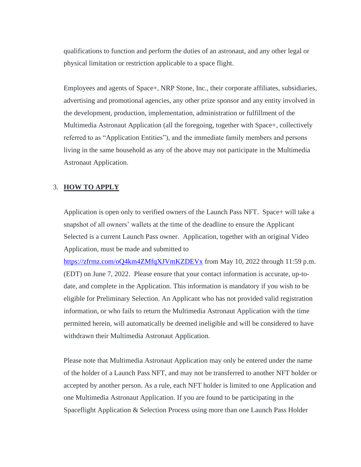qualifications to function and perform the duties of an astronaut, and any other legal or physical limitation or restriction applicable to a space flight.

Employees and agents of Space+, NRP Stone, Inc., their corporate affiliates, subsidiaries, advertising and promotional agencies, any other prize sponsor and any entity involved in the development, production, implementation, administration or fulfillment of the Multimedia Astronaut Application (all the foregoing, together with Space+, collectively referred to as "Application Entities"), and the immediate family members and persons living in the same household as any of the above may not participate in the Multimedia Astronaut Application.

# 3. **HOW TO APPLY**

Application is open only to verified owners of the Launch Pass NFT. Space+ will take a snapshot of all owners' wallets at the time of the deadline to ensure the Applicant Selected is a current Launch Pass owner. Application, together with an original Video Application, must be made and submitted to

<https://zfrmz.com/oQ4km4ZMfqXJVmKZDEVx> from May 10, 2022 through 11:59 p.m. (EDT) on June 7, 2022. Please ensure that your contact information is accurate, up-todate, and complete in the Application. This information is mandatory if you wish to be eligible for Preliminary Selection. An Applicant who has not provided valid registration information, or who fails to return the Multimedia Astronaut Application with the time permitted herein, will automatically be deemed ineligible and will be considered to have withdrawn their Multimedia Astronaut Application.

Please note that Multimedia Astronaut Application may only be entered under the name of the holder of a Launch Pass NFT, and may not be transferred to another NFT holder or accepted by another person. As a rule, each NFT holder is limited to one Application and one Multimedia Astronaut Application. If you are found to be participating in the Spaceflight Application & Selection Process using more than one Launch Pass Holder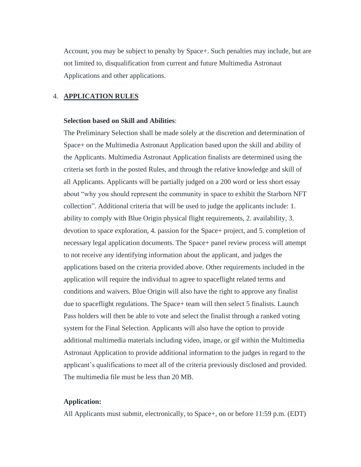Account, you may be subject to penalty by Space+. Such penalties may include, but are not limited to, disqualification from current and future Multimedia Astronaut Applications and other applications.

### 4. **APPLICATION RULES**

#### **Selection based on Skill and Abilities**:

The Preliminary Selection shall be made solely at the discretion and determination of Space+ on the Multimedia Astronaut Application based upon the skill and ability of the Applicants. Multimedia Astronaut Application finalists are determined using the criteria set forth in the posted Rules, and through the relative knowledge and skill of all Applicants. Applicants will be partially judged on a 200 word or less short essay about "why you should represent the community in space to exhibit the Starborn NFT collection". Additional criteria that will be used to judge the applicants include: 1. ability to comply with Blue Origin physical flight requirements, 2. availability, 3. devotion to space exploration, 4. passion for the Space+ project, and 5. completion of necessary legal application documents. The Space+ panel review process will attempt to not receive any identifying information about the applicant, and judges the applications based on the criteria provided above. Other requirements included in the application will require the individual to agree to spaceflight related terms and conditions and waivers. Blue Origin will also have the right to approve any finalist due to spaceflight regulations. The Space+ team will then select 5 finalists. Launch Pass holders will then be able to vote and select the finalist through a ranked voting system for the Final Selection. Applicants will also have the option to provide additional multimedia materials including video, image, or gif within the Multimedia Astronaut Application to provide additional information to the judges in regard to the applicant's qualifications to meet all of the criteria previously disclosed and provided. The multimedia file must be less than 20 MB.

# **Application:**

All Applicants must submit, electronically, to Space+, on or before 11:59 p.m. (EDT)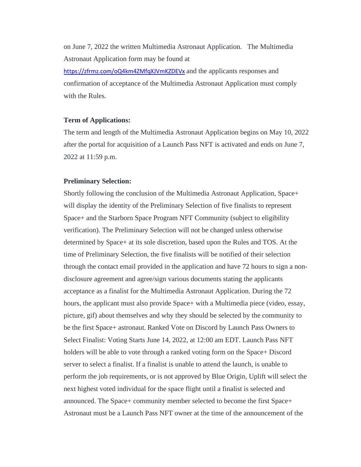on June 7, 2022 the written Multimedia Astronaut Application. The Multimedia Astronaut Application form may be found at <https://zfrmz.com/oQ4km4ZMfqXJVmKZDEVx> and the applicants responses and confirmation of acceptance of the Multimedia Astronaut Application must comply with the Rules.

#### **Term of Applications:**

The term and length of the Multimedia Astronaut Application begins on May 10, 2022 after the portal for acquisition of a Launch Pass NFT is activated and ends on June 7, 2022 at 11:59 p.m.

## **Preliminary Selection:**

Shortly following the conclusion of the Multimedia Astronaut Application, Space+ will display the identity of the Preliminary Selection of five finalists to represent Space+ and the Starborn Space Program NFT Community (subject to eligibility verification). The Preliminary Selection will not be changed unless otherwise determined by Space+ at its sole discretion, based upon the Rules and TOS. At the time of Preliminary Selection, the five finalists will be notified of their selection through the contact email provided in the application and have 72 hours to sign a nondisclosure agreement and agree/sign various documents stating the applicants acceptance as a finalist for the Multimedia Astronaut Application. During the 72 hours, the applicant must also provide Space+ with a Multimedia piece (video, essay, picture, gif) about themselves and why they should be selected by the community to be the first Space+ astronaut. Ranked Vote on Discord by Launch Pass Owners to Select Finalist: Voting Starts June 14, 2022, at 12:00 am EDT. Launch Pass NFT holders will be able to vote through a ranked voting form on the Space+ Discord server to select a finalist. If a finalist is unable to attend the launch, is unable to perform the job requirements, or is not approved by Blue Origin, Uplift will select the next highest voted individual for the space flight until a finalist is selected and announced. The Space+ community member selected to become the first Space+ Astronaut must be a Launch Pass NFT owner at the time of the announcement of the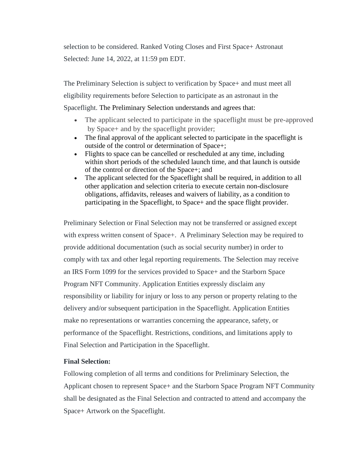selection to be considered. Ranked Voting Closes and First Space+ Astronaut Selected: June 14, 2022, at 11:59 pm EDT.

The Preliminary Selection is subject to verification by Space+ and must meet all eligibility requirements before Selection to participate as an astronaut in the Spaceflight. The Preliminary Selection understands and agrees that:

- The applicant selected to participate in the spaceflight must be pre-approved by Space+ and by the spaceflight provider;
- The final approval of the applicant selected to participate in the spaceflight is outside of the control or determination of Space+;
- Flights to space can be cancelled or rescheduled at any time, including within short periods of the scheduled launch time, and that launch is outside of the control or direction of the Space+; and
- The applicant selected for the Spaceflight shall be required, in addition to all other application and selection criteria to execute certain non-disclosure obligations, affidavits, releases and waivers of liability, as a condition to participating in the Spaceflight, to Space+ and the space flight provider.

Preliminary Selection or Final Selection may not be transferred or assigned except with express written consent of Space+. A Preliminary Selection may be required to provide additional documentation (such as social security number) in order to comply with tax and other legal reporting requirements. The Selection may receive an IRS Form 1099 for the services provided to Space+ and the Starborn Space Program NFT Community. Application Entities expressly disclaim any responsibility or liability for injury or loss to any person or property relating to the delivery and/or subsequent participation in the Spaceflight. Application Entities make no representations or warranties concerning the appearance, safety, or performance of the Spaceflight. Restrictions, conditions, and limitations apply to Final Selection and Participation in the Spaceflight.

# **Final Selection:**

Following completion of all terms and conditions for Preliminary Selection, the Applicant chosen to represent Space+ and the Starborn Space Program NFT Community shall be designated as the Final Selection and contracted to attend and accompany the Space+ Artwork on the Spaceflight.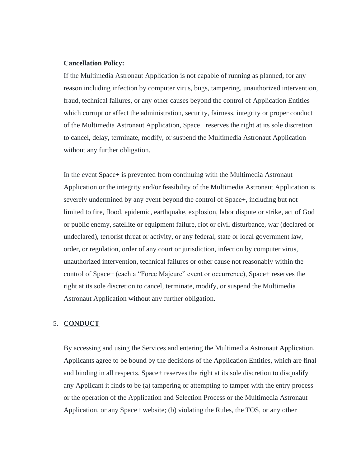#### **Cancellation Policy:**

If the Multimedia Astronaut Application is not capable of running as planned, for any reason including infection by computer virus, bugs, tampering, unauthorized intervention, fraud, technical failures, or any other causes beyond the control of Application Entities which corrupt or affect the administration, security, fairness, integrity or proper conduct of the Multimedia Astronaut Application, Space+ reserves the right at its sole discretion to cancel, delay, terminate, modify, or suspend the Multimedia Astronaut Application without any further obligation.

In the event Space+ is prevented from continuing with the Multimedia Astronaut Application or the integrity and/or feasibility of the Multimedia Astronaut Application is severely undermined by any event beyond the control of Space+, including but not limited to fire, flood, epidemic, earthquake, explosion, labor dispute or strike, act of God or public enemy, satellite or equipment failure, riot or civil disturbance, war (declared or undeclared), terrorist threat or activity, or any federal, state or local government law, order, or regulation, order of any court or jurisdiction, infection by computer virus, unauthorized intervention, technical failures or other cause not reasonably within the control of Space+ (each a "Force Majeure" event or occurrence), Space+ reserves the right at its sole discretion to cancel, terminate, modify, or suspend the Multimedia Astronaut Application without any further obligation.

### 5. **CONDUCT**

By accessing and using the Services and entering the Multimedia Astronaut Application, Applicants agree to be bound by the decisions of the Application Entities, which are final and binding in all respects. Space+ reserves the right at its sole discretion to disqualify any Applicant it finds to be (a) tampering or attempting to tamper with the entry process or the operation of the Application and Selection Process or the Multimedia Astronaut Application, or any Space+ website; (b) violating the Rules, the TOS, or any other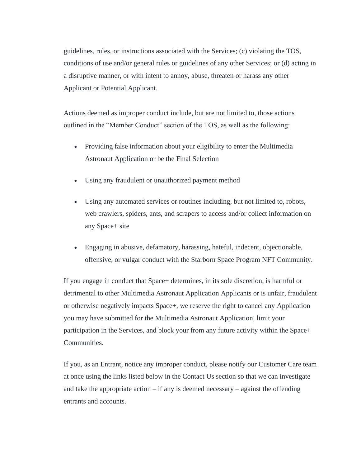guidelines, rules, or instructions associated with the Services; (c) violating the TOS, conditions of use and/or general rules or guidelines of any other Services; or (d) acting in a disruptive manner, or with intent to annoy, abuse, threaten or harass any other Applicant or Potential Applicant.

Actions deemed as improper conduct include, but are not limited to, those actions outlined in the "Member Conduct" section of the TOS, as well as the following:

- Providing false information about your eligibility to enter the Multimedia Astronaut Application or be the Final Selection
- Using any fraudulent or unauthorized payment method
- Using any automated services or routines including, but not limited to, robots, web crawlers, spiders, ants, and scrapers to access and/or collect information on any Space+ site
- Engaging in abusive, defamatory, harassing, hateful, indecent, objectionable, offensive, or vulgar conduct with the Starborn Space Program NFT Community.

If you engage in conduct that Space+ determines, in its sole discretion, is harmful or detrimental to other Multimedia Astronaut Application Applicants or is unfair, fraudulent or otherwise negatively impacts Space+, we reserve the right to cancel any Application you may have submitted for the Multimedia Astronaut Application, limit your participation in the Services, and block your from any future activity within the Space+ Communities.

If you, as an Entrant, notice any improper conduct, please notify our Customer Care team at once using the links listed below in the Contact Us section so that we can investigate and take the appropriate action – if any is deemed necessary – against the offending entrants and accounts.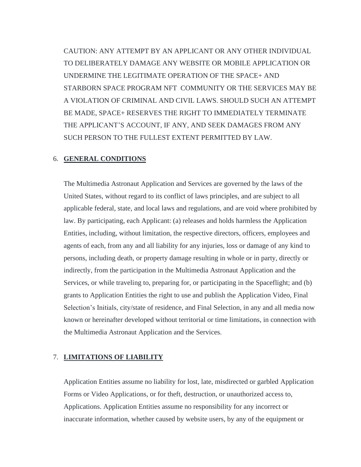CAUTION: ANY ATTEMPT BY AN APPLICANT OR ANY OTHER INDIVIDUAL TO DELIBERATELY DAMAGE ANY WEBSITE OR MOBILE APPLICATION OR UNDERMINE THE LEGITIMATE OPERATION OF THE SPACE+ AND STARBORN SPACE PROGRAM NFT COMMUNITY OR THE SERVICES MAY BE A VIOLATION OF CRIMINAL AND CIVIL LAWS. SHOULD SUCH AN ATTEMPT BE MADE, SPACE+ RESERVES THE RIGHT TO IMMEDIATELY TERMINATE THE APPLICANT'S ACCOUNT, IF ANY, AND SEEK DAMAGES FROM ANY SUCH PERSON TO THE FULLEST EXTENT PERMITTED BY LAW.

## 6. **GENERAL CONDITIONS**

The Multimedia Astronaut Application and Services are governed by the laws of the United States, without regard to its conflict of laws principles, and are subject to all applicable federal, state, and local laws and regulations, and are void where prohibited by law. By participating, each Applicant: (a) releases and holds harmless the Application Entities, including, without limitation, the respective directors, officers, employees and agents of each, from any and all liability for any injuries, loss or damage of any kind to persons, including death, or property damage resulting in whole or in party, directly or indirectly, from the participation in the Multimedia Astronaut Application and the Services, or while traveling to, preparing for, or participating in the Spaceflight; and (b) grants to Application Entities the right to use and publish the Application Video, Final Selection's Initials, city/state of residence, and Final Selection, in any and all media now known or hereinafter developed without territorial or time limitations, in connection with the Multimedia Astronaut Application and the Services.

## 7. **LIMITATIONS OF LIABILITY**

Application Entities assume no liability for lost, late, misdirected or garbled Application Forms or Video Applications, or for theft, destruction, or unauthorized access to, Applications. Application Entities assume no responsibility for any incorrect or inaccurate information, whether caused by website users, by any of the equipment or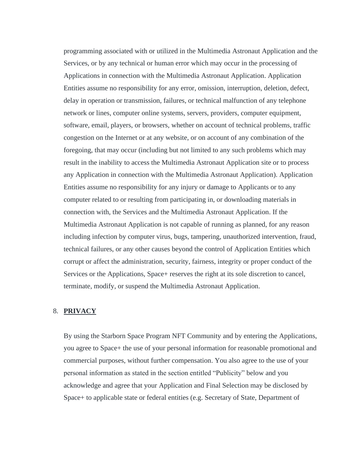programming associated with or utilized in the Multimedia Astronaut Application and the Services, or by any technical or human error which may occur in the processing of Applications in connection with the Multimedia Astronaut Application. Application Entities assume no responsibility for any error, omission, interruption, deletion, defect, delay in operation or transmission, failures, or technical malfunction of any telephone network or lines, computer online systems, servers, providers, computer equipment, software, email, players, or browsers, whether on account of technical problems, traffic congestion on the Internet or at any website, or on account of any combination of the foregoing, that may occur (including but not limited to any such problems which may result in the inability to access the Multimedia Astronaut Application site or to process any Application in connection with the Multimedia Astronaut Application). Application Entities assume no responsibility for any injury or damage to Applicants or to any computer related to or resulting from participating in, or downloading materials in connection with, the Services and the Multimedia Astronaut Application. If the Multimedia Astronaut Application is not capable of running as planned, for any reason including infection by computer virus, bugs, tampering, unauthorized intervention, fraud, technical failures, or any other causes beyond the control of Application Entities which corrupt or affect the administration, security, fairness, integrity or proper conduct of the Services or the Applications, Space+ reserves the right at its sole discretion to cancel, terminate, modify, or suspend the Multimedia Astronaut Application.

# 8. **PRIVACY**

By using the Starborn Space Program NFT Community and by entering the Applications, you agree to Space+ the use of your personal information for reasonable promotional and commercial purposes, without further compensation. You also agree to the use of your personal information as stated in the section entitled "Publicity" below and you acknowledge and agree that your Application and Final Selection may be disclosed by Space+ to applicable state or federal entities (e.g. Secretary of State, Department of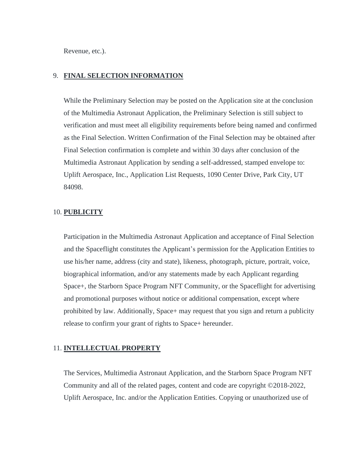Revenue, etc.).

# 9. **FINAL SELECTION INFORMATION**

While the Preliminary Selection may be posted on the Application site at the conclusion of the Multimedia Astronaut Application, the Preliminary Selection is still subject to verification and must meet all eligibility requirements before being named and confirmed as the Final Selection. Written Confirmation of the Final Selection may be obtained after Final Selection confirmation is complete and within 30 days after conclusion of the Multimedia Astronaut Application by sending a self-addressed, stamped envelope to: Uplift Aerospace, Inc., Application List Requests, 1090 Center Drive, Park City, UT 84098.

## 10. **PUBLICITY**

Participation in the Multimedia Astronaut Application and acceptance of Final Selection and the Spaceflight constitutes the Applicant's permission for the Application Entities to use his/her name, address (city and state), likeness, photograph, picture, portrait, voice, biographical information, and/or any statements made by each Applicant regarding Space+, the Starborn Space Program NFT Community, or the Spaceflight for advertising and promotional purposes without notice or additional compensation, except where prohibited by law. Additionally, Space+ may request that you sign and return a publicity release to confirm your grant of rights to Space+ hereunder.

## 11. **INTELLECTUAL PROPERTY**

The Services, Multimedia Astronaut Application, and the Starborn Space Program NFT Community and all of the related pages, content and code are copyright ©2018-2022, Uplift Aerospace, Inc. and/or the Application Entities. Copying or unauthorized use of